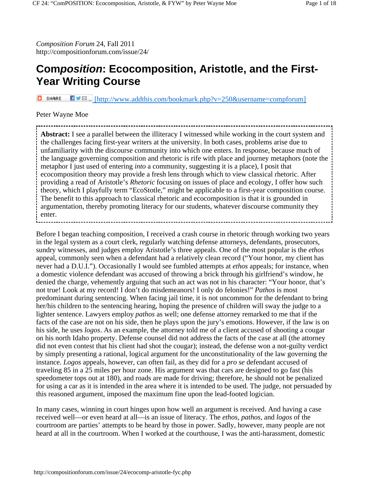*Composition Forum* 24, Fall 2011 http://compositionforum.com/issue/24/

# **Com***position***: Ecocomposition, Aristotle, and the First-Year Writing Course**

**D** SHARE  $\blacksquare \blacksquare$  [http://www.addthis.com/bookmark.php?v=250&username=compforum]

#### Peter Wayne Moe

**Abstract:** I see a parallel between the illiteracy I witnessed while working in the court system and the challenges facing first-year writers at the university. In both cases, problems arise due to unfamiliarity with the discourse community into which one enters. In response, because much of the language governing composition and rhetoric is rife with place and journey metaphors (note the metaphor I just used of entering *into* a community, suggesting it is a place), I posit that ecocomposition theory may provide a fresh lens through which to view classical rhetoric. After providing a read of Aristotle's *Rhetoric* focusing on issues of place and ecology, I offer how such theory, which I playfully term "EcoStotle," might be applicable to a first-year composition course. The benefit to this approach to classical rhetoric and ecocomposition is that it is grounded in argumentation, thereby promoting literacy for our students, whatever discourse community they enter.

Before I began teaching composition, I received a crash course in rhetoric through working two years in the legal system as a court clerk, regularly watching defense attorneys, defendants, prosecutors, sundry witnesses, and judges employ Aristotle's three appeals. One of the most popular is the *ethos* appeal, commonly seen when a defendant had a relatively clean record ("Your honor, my client has never had a D.U.I."). Occasionally I would see fumbled attempts at *ethos* appeals; for instance, when a domestic violence defendant was accused of throwing a brick through his girlfriend's window, he denied the charge, vehemently arguing that such an act was not in his character: "Your honor, that's not true! Look at my record! I don't do misdemeanors! I only do felonies!" *Pathos* is most predominant during sentencing. When facing jail time, it is not uncommon for the defendant to bring her/his children to the sentencing hearing, hoping the presence of children will sway the judge to a lighter sentence. Lawyers employ *pathos* as well; one defense attorney remarked to me that if the facts of the case are not on his side, then he plays upon the jury's emotions. However, if the law is on his side, he uses *logos*. As an example, the attorney told me of a client accused of shooting a cougar on his north Idaho property. Defense counsel did not address the facts of the case at all (the attorney did not even contest that his client had shot the cougar); instead, the defense won a not-guilty verdict by simply presenting a rational, logical argument for the unconstitutionality of the law governing the instance. *Logos* appeals, however, can often fail, as they did for a *pro se* defendant accused of traveling 85 in a 25 miles per hour zone. His argument was that cars are designed to go fast (his speedometer tops out at 180), and roads are made for driving; therefore, he should not be penalized for using a car as it is intended in the area where it is intended to be used. The judge, not persuaded by this reasoned argument, imposed the maximum fine upon the lead-footed logician.

In many cases, winning in court hinges upon how well an argument is received. And having a case received well––or even heard at all––is an issue of literacy. The *ethos*, *pathos*, and *logos* of the courtroom are parties' attempts to be heard by those in power. Sadly, however, many people are not heard at all in the courtroom. When I worked at the courthouse, I was the anti-harassment, domestic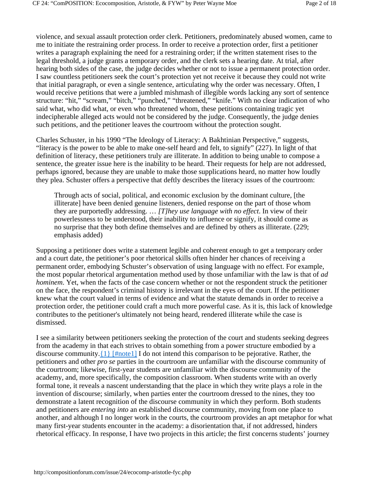violence, and sexual assault protection order clerk. Petitioners, predominately abused women, came to me to initiate the restraining order process. In order to receive a protection order, first a petitioner writes a paragraph explaining the need for a restraining order; if the written statement rises to the legal threshold, a judge grants a temporary order, and the clerk sets a hearing date. At trial, after hearing both sides of the case, the judge decides whether or not to issue a permanent protection order. I saw countless petitioners seek the court's protection yet not receive it because they could not write that initial paragraph, or even a single sentence, articulating why the order was necessary. Often, I would receive petitions that were a jumbled mishmash of illegible words lacking any sort of sentence structure: "hit," "scream," "bitch," "punched," "threatened," "knife." With no clear indication of who said what, who did what, or even who threatened whom, these petitions containing tragic yet indecipherable alleged acts would not be considered by the judge. Consequently, the judge denies such petitions, and the petitioner leaves the courtroom without the protection sought.

Charles Schuster, in his 1990 "The Ideology of Literacy: A Bakhtinian Perspective," suggests, "literacy is the power to be able to make one-self heard and felt, to signify" (227). In light of that definition of literacy, these petitioners truly are illiterate. In addition to being unable to compose a sentence, the greater issue here is the inability to be heard. Their requests for help are not addressed, perhaps ignored, because they are unable to make those supplications heard, no matter how loudly they plea. Schuster offers a perspective that deftly describes the literacy issues of the courtroom:

Through acts of social, political, and economic exclusion by the dominant culture, [the illiterate] have been denied genuine listeners, denied response on the part of those whom they are purportedly addressing. … *[T]hey use language with no effect*. In view of their powerlessness to be understood, their inability to influence or signify, it should come as no surprise that they both define themselves and are defined by others as illiterate. (229; emphasis added)

Supposing a petitioner does write a statement legible and coherent enough to get a temporary order and a court date, the petitioner's poor rhetorical skills often hinder her chances of receiving a permanent order, embodying Schuster's observation of using language with no effect. For example, the most popular rhetorical argumentation method used by those unfamiliar with the law is that of *ad hominem*. Yet, when the facts of the case concern whether or not the respondent struck the petitioner on the face, the respondent's criminal history is irrelevant in the eyes of the court. If the petitioner knew what the court valued in terms of evidence and what the statute demands in order to receive a protection order, the petitioner could craft a much more powerful case. As it is, this lack of knowledge contributes to the petitioner's ultimately not being heard, rendered illiterate while the case is dismissed.

I see a similarity between petitioners seeking the protection of the court and students seeking degrees from the academy in that each strives to obtain something from a power structure embodied by a discourse community. $\{1\}$  [#note1] I do not intend this comparison to be pejorative. Rather, the petitioners and other *pro se* parties in the courtroom are unfamiliar with the discourse community of the courtroom; likewise, first-year students are unfamiliar with the discourse community of the academy, and, more specifically, the composition classroom. When students write with an overly formal tone, it reveals a nascent understanding that the place in which they write plays a role in the invention of discourse; similarly, when parties enter the courtroom dressed to the nines, they too demonstrate a latent recognition of the discourse community in which they perform. Both students and petitioners are *entering into* an established discourse community, moving from one place to another, and although I no longer work in the courts, the courtroom provides an apt metaphor for what many first-year students encounter in the academy: a disorientation that, if not addressed, hinders rhetorical efficacy. In response, I have two projects in this article; the first concerns students' journey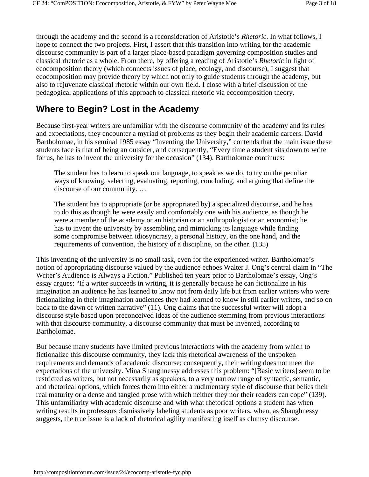through the academy and the second is a reconsideration of Aristotle's *Rhetoric*. In what follows, I hope to connect the two projects. First, I assert that this transition into writing for the academic discourse community is part of a larger place-based paradigm governing composition studies and classical rhetoric as a whole. From there, by offering a reading of Aristotle's *Rhetoric* in light of ecocomposition theory (which connects issues of place, ecology, and discourse), I suggest that ecocomposition may provide theory by which not only to guide students through the academy, but also to rejuvenate classical rhetoric within our own field. I close with a brief discussion of the pedagogical applications of this approach to classical rhetoric via ecocomposition theory.

# **Where to Begin? Lost in the Academy**

Because first-year writers are unfamiliar with the discourse community of the academy and its rules and expectations, they encounter a myriad of problems as they begin their academic careers. David Bartholomae, in his seminal 1985 essay "Inventing the University," contends that the main issue these students face is that of being an outsider, and consequently, "Every time a student sits down to write for us, he has to invent the university for the occasion" (134). Bartholomae continues:

The student has to learn to speak our language, to speak as we do, to try on the peculiar ways of knowing, selecting, evaluating, reporting, concluding, and arguing that define the discourse of our community. …

The student has to appropriate (or be appropriated by) a specialized discourse, and he has to do this as though he were easily and comfortably one with his audience, as though he were a member of the academy or an historian or an anthropologist or an economist; he has to invent the university by assembling and mimicking its language while finding some compromise between idiosyncrasy, a personal history, on the one hand, and the requirements of convention, the history of a discipline, on the other. (135)

This inventing of the university is no small task, even for the experienced writer. Bartholomae's notion of appropriating discourse valued by the audience echoes Walter J. Ong's central claim in "The Writer's Audience is Always a Fiction." Published ten years prior to Bartholomae's essay, Ong's essay argues: "If a writer succeeds in writing, it is generally because he can fictionalize in his imagination an audience he has learned to know not from daily life but from earlier writers who were fictionalizing in their imagination audiences they had learned to know in still earlier writers, and so on back to the dawn of written narrative" (11). Ong claims that the successful writer will adopt a discourse style based upon preconceived ideas of the audience stemming from previous interactions with that discourse community, a discourse community that must be invented, according to Bartholomae.

But because many students have limited previous interactions with the academy from which to fictionalize this discourse community, they lack this rhetorical awareness of the unspoken requirements and demands of academic discourse; consequently, their writing does not meet the expectations of the university. Mina Shaughnessy addresses this problem: "[Basic writers] seem to be restricted as writers, but not necessarily as speakers, to a very narrow range of syntactic, semantic, and rhetorical options, which forces them into either a rudimentary style of discourse that belies their real maturity or a dense and tangled prose with which neither they nor their readers can cope" (139). This unfamiliarity with academic discourse and with what rhetorical options a student has when writing results in professors dismissively labeling students as poor writers, when, as Shaughnessy suggests, the true issue is a lack of rhetorical agility manifesting itself as clumsy discourse.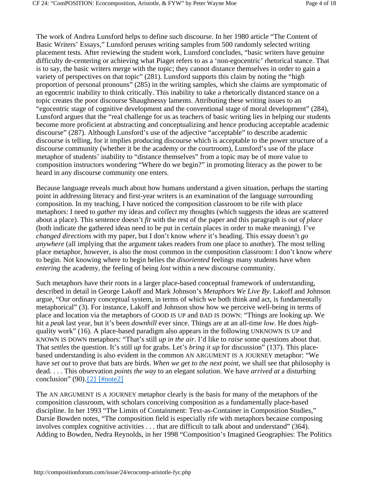The work of Andrea Lunsford helps to define such discourse. In her 1980 article "The Content of Basic Writers' Essays," Lunsford peruses writing samples from 500 randomly selected writing placement tests. After reviewing the student work, Lunsford concludes, "basic writers have genuine difficulty de-centering or achieving what Piaget refers to as a 'non-egocentric' rhetorical stance. That is to say, the basic writers merge with the topic; they cannot distance themselves in order to gain a variety of perspectives on that topic" (281). Lunsford supports this claim by noting the "high proportion of personal pronouns" (285) in the writing samples, which she claims are symptomatic of an egocentric inability to think critically. This inability to take a rhetorically distanced stance on a topic creates the poor discourse Shaughnessy laments. Attributing these writing issues to an "egocentric stage of cognitive development and the conventional stage of moral development" (284), Lunsford argues that the "real challenge for us as teachers of basic writing lies in helping our students become more proficient at abstracting and conceptualizing and hence producing acceptable academic discourse" (287). Although Lunsford's use of the adjective "acceptable" to describe academic discourse is telling, for it implies producing discourse which is acceptable to the power structure of a discourse community (whether it be the academy or the courtroom), Lunsford's use of the place metaphor of students' inability to "distance themselves" from a topic may be of more value to composition instructors wondering "Where do we begin?" in promoting literacy as the power to be heard in any discourse community one enters.

Because language reveals much about how humans understand a given situation, perhaps the starting point in addressing literacy and first-year writers is an examination of the language surrounding composition. In my teaching, I have noticed the composition classroom to be rife with place metaphors: I need to *gather* my ideas and *collect* my thoughts (which suggests the ideas are scattered about a place). This sentence doesn't *fit* with the rest of the paper and this paragraph is *out of place* (both indicate the gathered ideas need to be put in certain places in order to make meaning). I've *changed directions* with my paper, but I don't know *where* it's heading. This essay doesn't *go anywhere* (all implying that the argument takes readers from one place to another). The most telling place metaphor, however, is also the most common in the composition classroom: I don't know *where* to begin. Not knowing where to begin belies the *disoriented* feelings many students have when *entering* the academy, the feeling of being *lost* within a new discourse community.

Such metaphors have their roots in a larger place-based conceptual framework of understanding, described in detail in George Lakoff and Mark Johnson's *Metaphors We Live By*. Lakoff and Johnson argue, "Our ordinary conceptual system, in terms of which we both think and act, is fundamentally metaphorical" (3). For instance, Lakoff and Johnson show how we perceive well-being in terms of place and location via the metaphors of GOOD IS UP and BAD IS DOWN: "Things are looking *up*. We hit a *peak* last year, but it's been *downhill* ever since. Things are at an all-time *low*. He does *high*quality work" (16). A place-based paradigm also appears in the following UNKNOWN IS UP and KNOWN IS DOWN metaphors: "That's still *up in the air*. I'd like to *raise* some questions about that. That *settles* the question. It's still *up* for grabs. Let's *bring it up* for discussion" (137). This placebased understanding is also evident in the common AN ARGUMENT IS A JOURNEY metaphor: "We have *set out* to prove that bats are birds. *When we get to the next point*, we shall see that philosophy is dead. . . . This observation *points the way* to an elegant solution. We have *arrived at* a disturbing conclusion" (90). $\{2\}$  [#note2]

The AN ARGUMENT IS A JOURNEY metaphor clearly is the basis for many of the metaphors of the composition classroom, with scholars conceiving composition as a fundamentally place-based discipline. In her 1993 "The Limits of Containment: Text-as-Container in Composition Studies," Darsie Bowden notes, "The composition field is especially rife with metaphors because composing involves complex cognitive activities . . . that are difficult to talk about and understand" (364). Adding to Bowden, Nedra Reynolds, in her 1998 "Composition's Imagined Geographies: The Politics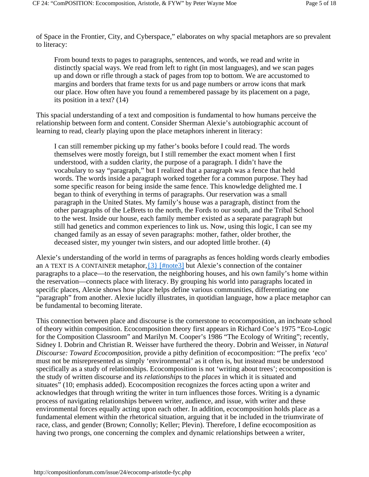of Space in the Frontier, City, and Cyberspace," elaborates on why spacial metaphors are so prevalent to literacy:

From bound texts to pages to paragraphs, sentences, and words, we read and write in distinctly spacial ways. We read from left to right (in most languages), and we scan pages up and down or rifle through a stack of pages from top to bottom. We are accustomed to margins and borders that frame texts for us and page numbers or arrow icons that mark our place. How often have you found a remembered passage by its placement on a page, its position in a text? (14)

This spacial understanding of a text and composition is fundamental to how humans perceive the relationship between form and content. Consider Sherman Alexie's autobiographic account of learning to read, clearly playing upon the place metaphors inherent in literacy:

I can still remember picking up my father's books before I could read. The words themselves were mostly foreign, but I still remember the exact moment when I first understood, with a sudden clarity, the purpose of a paragraph. I didn't have the vocabulary to say "paragraph," but I realized that a paragraph was a fence that held words. The words inside a paragraph worked together for a common purpose. They had some specific reason for being inside the same fence. This knowledge delighted me. I began to think of everything in terms of paragraphs. Our reservation was a small paragraph in the United States. My family's house was a paragraph, distinct from the other paragraphs of the LeBrets to the north, the Fords to our south, and the Tribal School to the west. Inside our house, each family member existed as a separate paragraph but still had genetics and common experiences to link us. Now, using this logic, I can see my changed family as an essay of seven paragraphs: mother, father, older brother, the deceased sister, my younger twin sisters, and our adopted little brother. (4)

Alexie's understanding of the world in terms of paragraphs as fences holding words clearly embodies an A TEXT IS A CONTAINER metaphor,  $\{3\}$  [#note3] but Alexie's connection of the container paragraphs to a place––to the reservation, the neighboring houses, and his own family's home within the reservation––connects place with literacy. By grouping his world into paragraphs located in specific places, Alexie shows how place helps define various communities, differentiating one "paragraph" from another. Alexie lucidly illustrates, in quotidian language, how a place metaphor can be fundamental to becoming literate.

This connection between place and discourse is the cornerstone to ecocomposition, an inchoate school of theory within composition. Ecocomposition theory first appears in Richard Coe's 1975 "Eco-Logic for the Composition Classroom" and Marilyn M. Cooper's 1986 "The Ecology of Writing"; recently, Sidney I. Dobrin and Christian R. Weisser have furthered the theory. Dobrin and Weisser, in *Natural Discourse: Toward Ecocomposition*, provide a pithy definition of ecocomposition: "The prefix 'eco' must not be misrepresented as simply 'environmental' as it often is, but instead must be understood specifically as a study of relationships. Ecocomposition is not 'writing about trees'; ecocomposition is the study of written discourse and its *relationships* to the *places* in which it is situated and situates" (10; emphasis added). Ecocomposition recognizes the forces acting upon a writer and acknowledges that through writing the writer in turn influences those forces. Writing is a dynamic process of navigating relationships between writer, audience, and issue, with writer and these environmental forces equally acting upon each other. In addition, ecocomposition holds place as a fundamental element within the rhetorical situation, arguing that it be included in the triumvirate of race, class, and gender (Brown; Connolly; Keller; Plevin). Therefore, I define ecocomposition as having two prongs, one concerning the complex and dynamic relationships between a writer,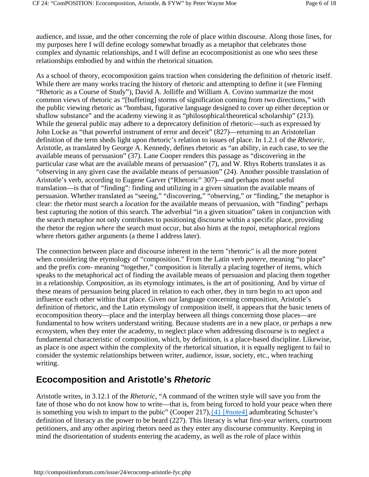audience, and issue, and the other concerning the role of place within discourse. Along those lines, for my purposes here I will define ecology somewhat broadly as a metaphor that celebrates those complex and dynamic relationships, and I will define an ecocompositionist as one who sees these relationships embodied by and within the rhetorical situation.

As a school of theory, ecocomposition gains traction when considering the definition of rhetoric itself. While there are many works tracing the history of rhetoric and attempting to define it (see Fleming "Rhetoric as a Course of Study"), David A. Jolliffe and William A. Covino summarize the most common views of rhetoric as "[buffeting] storms of signification coming from two directions," with the public viewing rhetoric as "bombast, figurative language designed to cover up either deception or shallow substance" and the academy viewing it as "philosophical/theoretical scholarship" (213). While the general public may adhere to a deprecatory definition of rhetoric—such as expressed by John Locke as "that powerful instrument of error and deceit" (827)—returning to an Aristotelian definition of the term sheds light upon rhetoric's relation to issues of place. In 1.2.1 of the *Rhetoric*, Aristotle, as translated by George A. Kennedy, defines rhetoric as "an ability, in each case, to see the available means of persuasion" (37). Lane Cooper renders this passage as "discovering in the particular case what are the available means of persuasion" (7), and W. Rhys Roberts translates it as "observing in any given case the available means of persuasion" (24). Another possible translation of Aristotle's verb, according to Eugene Garver ("Rhetoric" 307)—and perhaps most useful translation—is that of "finding": finding and utilizing in a given situation the available means of persuasion. Whether translated as "seeing," "discovering," "observing," or "finding," the metaphor is clear: the rhetor must search a *location* for the available means of persuasion, with "finding" perhaps best capturing the notion of this search. The adverbial "in a given situation" taken in conjunction with the search metaphor not only contributes to positioning discourse within a specific place, providing the rhetor the region *where* the search must occur, but also hints at the *topoi*, metaphorical regions where rhetors gather arguments (a theme I address later).

The connection between place and discourse inherent in the term "rhetoric" is all the more potent when considering the etymology of "composition." From the Latin verb *ponere*, meaning "to place" and the prefix *com-* meaning "together," composition is literally a placing together of items, which speaks to the metaphorical act of finding the available means of persuasion and placing them together in a relationship. Com*position*, as its etymology intimates, is the art of positioning. And by virtue of these means of persuasion being placed in relation to each other, they in turn begin to act upon and influence each other within that place. Given our language concerning composition, Aristotle's definition of rhetoric, and the Latin etymology of composition itself, it appears that the basic tenets of ecocomposition theory––place and the interplay between all things concerning those places––are fundamental to how writers understand writing. Because students are in a new place, or perhaps a new ecosystem, when they enter the academy, to neglect place when addressing discourse is to neglect a fundamental characteristic of composition, which, by definition, is a place-based discipline. Likewise, as place is one aspect within the complexity of the rhetorical situation, it is equally negligent to fail to consider the systemic relationships between writer, audience, issue, society, etc., when teaching writing.

### **Ecocomposition and Aristotle's** *Rhetoric*

Aristotle writes, in 3.12.1 of the *Rhetoric*, "A command of the written style will save you from the fate of those who do not know how to write––that is, from being forced to hold your peace when there is something you wish to impart to the pubic" (Cooper 217), $\{4\}$  [#note4] adumbrating Schuster's definition of literacy as the power to be heard (227). This literacy is what first-year writers, courtroom petitioners, and any other aspiring rhetors need as they enter any discourse community. Keeping in mind the disorientation of students entering the academy, as well as the role of place within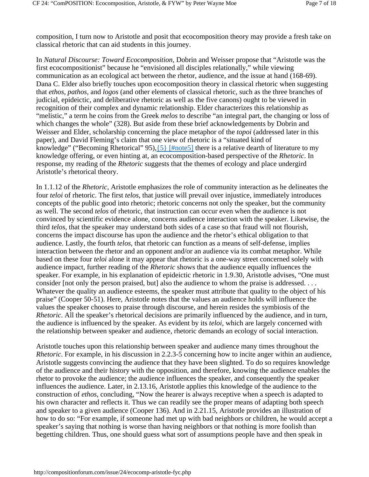composition, I turn now to Aristotle and posit that ecocomposition theory may provide a fresh take on classical rhetoric that can aid students in this journey.

In *Natural Discourse: Toward Ecocomposition,* Dobrin and Weisser propose that "Aristotle was the first ecocompositionist" because he "envisioned all disciples relationally," while viewing communication as an ecological act between the rhetor, audience, and the issue at hand (168-69). Dana C. Elder also briefly touches upon ecocomposition theory in classical rhetoric when suggesting that *ethos*, *pathos*, and *logos* (and other elements of classical rhetoric, such as the three branches of judicial, epideictic, and deliberative rhetoric as well as the five canons) ought to be viewed in recognition of their complex and dynamic relationship. Elder characterizes this relationship as "melistic," a term he coins from the Greek *melos* to describe "an integral part, the changing or loss of which changes the whole" (328). But aside from these brief acknowledgements by Dobrin and Weisser and Elder, scholarship concerning the place metaphor of the *topoi* (addressed later in this paper), and David Fleming's claim that one view of rhetoric is a "situated kind of knowledge" ("Becoming Rhetorical"  $95$ ), $\{5\}$  [#note5] there is a relative dearth of literature to my knowledge offering, or even hinting at, an ecocomposition-based perspective of the *Rhetoric*. In response, my reading of the *Rhetoric* suggests that the themes of ecology and place undergird Aristotle's rhetorical theory.

In 1.1.12 of the *Rhetoric*, Aristotle emphasizes the role of community interaction as he delineates the four *teloi* of rhetoric. The first *telos*, that justice will prevail over injustice, immediately introduces concepts of the public good into rhetoric; rhetoric concerns not only the speaker, but the community as well. The second *telos* of rhetoric, that instruction can occur even when the audience is not convinced by scientific evidence alone, concerns audience interaction with the speaker. Likewise, the third *telos*, that the speaker may understand both sides of a case so that fraud will not flourish, concerns the impact discourse has upon the audience and the rhetor's ethical obligation to that audience. Lastly, the fourth *telos*, that rhetoric can function as a means of self-defense, implies interaction between the rhetor and an opponent and/or an audience via its combat metaphor. While based on these four *teloi* alone it may appear that rhetoric is a one-way street concerned solely with audience impact, further reading of the *Rhetoric* shows that the audience equally influences the speaker. For example, in his explanation of epideictic rhetoric in 1.9.30, Aristotle advises, "One must consider [not only the person praised, but] also the audience to whom the praise is addressed. . . . Whatever the quality an audience esteems, the speaker must attribute that quality to the object of his praise" (Cooper 50-51). Here, Aristotle notes that the values an audience holds will influence the values the speaker chooses to praise through discourse, and herein resides the symbiosis of the *Rhetoric*. All the speaker's rhetorical decisions are primarily influenced by the audience, and in turn, the audience is influenced by the speaker. As evident by its *teloi,* which are largely concerned with the relationship between speaker and audience, rhetoric demands an ecology of social interaction.

Aristotle touches upon this relationship between speaker and audience many times throughout the *Rhetoric*. For example, in his discussion in 2.2.3-5 concerning how to incite anger within an audience, Aristotle suggests convincing the audience that they have been slighted. To do so requires knowledge of the audience and their history with the opposition, and therefore, knowing the audience enables the rhetor to provoke the audience; the audience influences the speaker, and consequently the speaker influences the audience. Later, in 2.13.16, Aristotle applies this knowledge of the audience to the construction of *ethos*, concluding, "Now the hearer is always receptive when a speech is adapted to his own character and reflects it. Thus we can readily see the proper means of adapting both speech and speaker to a given audience (Cooper 136). And in 2.21.15, Aristotle provides an illustration of how to do so: "For example, if someone had met up with bad neighbors or children, he would accept a speaker's saying that nothing is worse than having neighbors or that nothing is more foolish than begetting children. Thus, one should guess what sort of assumptions people have and then speak in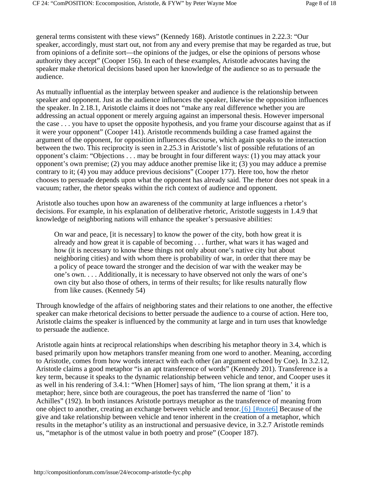general terms consistent with these views" (Kennedy 168). Aristotle continues in 2.22.3: "Our speaker, accordingly, must start out, not from any and every premise that may be regarded as true, but from opinions of a definite sort––the opinions of the judges, or else the opinions of persons whose authority they accept" (Cooper 156). In each of these examples, Aristotle advocates having the speaker make rhetorical decisions based upon her knowledge of the audience so as to persuade the audience.

As mutually influential as the interplay between speaker and audience is the relationship between speaker and opponent. Just as the audience influences the speaker, likewise the opposition influences the speaker. In 2.18.1, Aristotle claims it does not "make any real difference whether you are addressing an actual opponent or merely arguing against an impersonal thesis. However impersonal the case . . . you have to upset the opposite hypothesis, and you frame your discourse against that as if it were your opponent" (Cooper 141). Aristotle recommends building a case framed against the argument of the opponent, for opposition influences discourse, which again speaks to the interaction between the two. This reciprocity is seen in 2.25.3 in Aristotle's list of possible refutations of an opponent's claim: "Objections . . . may be brought in four different ways: (1) you may attack your opponent's own premise; (2) you may adduce another premise like it; (3) you may adduce a premise contrary to it; (4) you may adduce previous decisions" (Cooper 177). Here too, how the rhetor chooses to persuade depends upon what the opponent has already said. The rhetor does not speak in a vacuum; rather, the rhetor speaks within the rich context of audience and opponent.

Aristotle also touches upon how an awareness of the community at large influences a rhetor's decisions. For example, in his explanation of deliberative rhetoric, Aristotle suggests in 1.4.9 that knowledge of neighboring nations will enhance the speaker's persuasive abilities:

On war and peace, [it is necessary] to know the power of the city, both how great it is already and how great it is capable of becoming . . . further, what wars it has waged and how (it is necessary to know these things not only about one's native city but about neighboring cities) and with whom there is probability of war, in order that there may be a policy of peace toward the stronger and the decision of war with the weaker may be one's own. . . . Additionally, it is necessary to have observed not only the wars of one's own city but also those of others, in terms of their results; for like results naturally flow from like causes. (Kennedy 54)

Through knowledge of the affairs of neighboring states and their relations to one another, the effective speaker can make rhetorical decisions to better persuade the audience to a course of action. Here too, Aristotle claims the speaker is influenced by the community at large and in turn uses that knowledge to persuade the audience.

Aristotle again hints at reciprocal relationships when describing his metaphor theory in 3.4, which is based primarily upon how metaphors transfer meaning from one word to another. Meaning, according to Aristotle, comes from how words interact with each other (an argument echoed by Coe). In 3.2.12, Aristotle claims a good metaphor "is an apt transference of words" (Kennedy 201). Transference is a key term, because it speaks to the dynamic relationship between vehicle and tenor, and Cooper uses it as well in his rendering of 3.4.1: "When [Homer] says of him, 'The lion sprang at them,' it is a metaphor; here, since both are courageous, the poet has transferred the name of 'lion' to Achilles" (192). In both instances Aristotle portrays metaphor as the transference of meaning from one object to another, creating an exchange between vehicle and tenor.{6} [#note6] Because of the give and take relationship between vehicle and tenor inherent in the creation of a metaphor, which results in the metaphor's utility as an instructional and persuasive device, in 3.2.7 Aristotle reminds us, "metaphor is of the utmost value in both poetry and prose" (Cooper 187).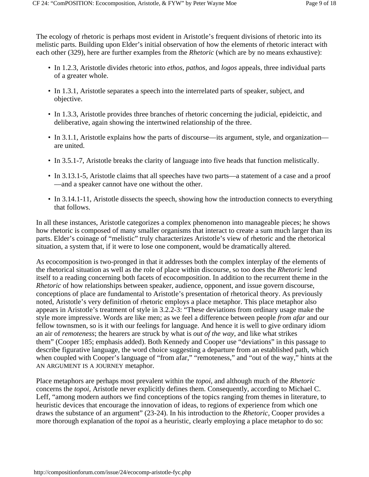The ecology of rhetoric is perhaps most evident in Aristotle's frequent divisions of rhetoric into its melistic parts. Building upon Elder's initial observation of how the elements of rhetoric interact with each other (329), here are further examples from the *Rhetoric* (which are by no means exhaustive):

- In 1.2.3, Aristotle divides rhetoric into *ethos, pathos*, and *logos* appeals, three individual parts of a greater whole.
- In 1.3.1, Aristotle separates a speech into the interrelated parts of speaker, subject, and objective.
- In 1.3.3, Aristotle provides three branches of rhetoric concerning the judicial, epideictic, and deliberative, again showing the intertwined relationship of the three.
- In 3.1.1, Aristotle explains how the parts of discourse—its argument, style, and organization are united.
- In 3.5.1-7, Aristotle breaks the clarity of language into five heads that function melistically.
- In 3.13.1-5, Aristotle claims that all speeches have two parts—a statement of a case and a proof ––and a speaker cannot have one without the other.
- In 3.14.1-11, Aristotle dissects the speech, showing how the introduction connects to everything that follows.

In all these instances, Aristotle categorizes a complex phenomenon into manageable pieces; he shows how rhetoric is composed of many smaller organisms that interact to create a sum much larger than its parts. Elder's coinage of "melistic" truly characterizes Aristotle's view of rhetoric and the rhetorical situation, a system that, if it were to lose one component, would be dramatically altered.

As ecocomposition is two-pronged in that it addresses both the complex interplay of the elements of the rhetorical situation as well as the role of place within discourse, so too does the *Rhetoric* lend itself to a reading concerning both facets of ecocomposition. In addition to the recurrent theme in the *Rhetoric* of how relationships between speaker, audience, opponent, and issue govern discourse, conceptions of place are fundamental to Aristotle's presentation of rhetorical theory. As previously noted, Aristotle's very definition of rhetoric employs a place metaphor. This place metaphor also appears in Aristotle's treatment of style in 3.2.2-3: "These deviations from ordinary usage make the style more impressive. Words are like men; as we feel a difference between people *from afar* and our fellow townsmen, so is it with our feelings for language. And hence it is well to give ordinary idiom an air of *remoteness*; the hearers are struck by what is *out of the way*, and like what strikes them" (Cooper 185; emphasis added). Both Kennedy and Cooper use "deviations" in this passage to describe figurative language, the word choice suggesting a departure from an established path, which when coupled with Cooper's language of "from afar," "remoteness," and "out of the way," hints at the AN ARGUMENT IS A JOURNEY metaphor.

Place metaphors are perhaps most prevalent within the *topoi*, and although much of the *Rhetoric*  concerns the *topoi*, Aristotle never explicitly defines them. Consequently, according to Michael C. Leff, "among modern authors we find conceptions of the topics ranging from themes in literature, to heuristic devices that encourage the innovation of ideas, to regions of experience from which one draws the substance of an argument" (23-24). In his introduction to the *Rhetoric,* Cooper provides a more thorough explanation of the *topoi* as a heuristic, clearly employing a place metaphor to do so: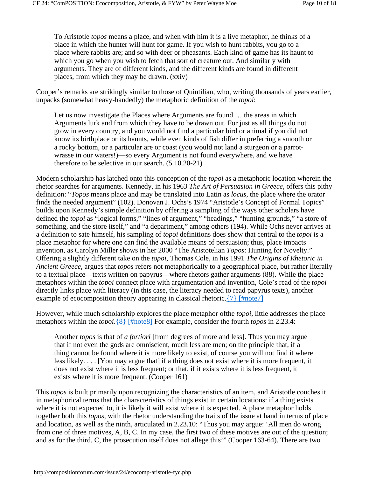To Aristotle *topos* means a place, and when with him it is a live metaphor, he thinks of a place in which the hunter will hunt for game. If you wish to hunt rabbits, you go to a place where rabbits are; and so with deer or pheasants. Each kind of game has its haunt to which you go when you wish to fetch that sort of creature out. And similarly with arguments. They are of different kinds, and the different kinds are found in different places, from which they may be drawn. (xxiv)

Cooper's remarks are strikingly similar to those of Quintilian, who, writing thousands of years earlier, unpacks (somewhat heavy-handedly) the metaphoric definition of the *topoi*:

Let us now investigate the Places where Arguments are found … the areas in which Arguments lurk and from which they have to be drawn out. For just as all things do not grow in every country, and you would not find a particular bird or animal if you did not know its birthplace or its haunts, while even kinds of fish differ in preferring a smooth or a rocky bottom, or a particular are or coast (you would not land a sturgeon or a parrotwrasse in our waters!)—so every Argument is not found everywhere, and we have therefore to be selective in our search. (5.10.20-21)

Modern scholarship has latched onto this conception of the *topoi* as a metaphoric location wherein the rhetor searches for arguments. Kennedy, in his 1963 *The Art of Persuasion in Greece*, offers this pithy definition: "*Topos* means place and may be translated into Latin as *locus*, the place where the orator finds the needed argument" (102). Donovan J. Ochs's 1974 "Aristotle's Concept of Formal Topics" builds upon Kennedy's simple definition by offering a sampling of the ways other scholars have defined the *topoi* as "logical forms," "lines of argument," "headings," "hunting grounds," "a store of something, and the store itself," and "a department," among others (194). While Ochs never arrives at a definition to sate himself, his sampling of *topoi* definitions does show that central to the *topoi* is a place metaphor for where one can find the available means of persuasion; thus, place impacts invention, as Carolyn Miller shows in her 2000 "The Aristotelian *Topos*: Hunting for Novelty." Offering a slightly different take on the *topoi*, Thomas Cole, in his 1991 *The Origins of Rhetoric in Ancient Greece*, argues that *topos* refers not metaphorically to a geographical place, but rather literally to a textual place––texts written on papyrus––where rhetors gather arguments (88). While the place metaphors within the *topoi* connect place with argumentation and invention, Cole's read of the *topoi* directly links place with literacy (in this case, the literacy needed to read papyrus texts), another example of ecocomposition theory appearing in classical rhetoric.  $\{7\}$  [#note7]

However, while much scholarship explores the place metaphor ofthe *topoi*, little addresses the place metaphors within the *topoi*.{8} [#note8] For example, consider the fourth *topos* in 2.23.4:

Another *topos* is that of *a fortiori* [from degrees of more and less]. Thus you may argue that if not even the gods are omniscient, much less are men; on the principle that, if a thing cannot be found where it is more likely to exist, of course you will not find it where less likely. . . . [You may argue that] if a thing does not exist where it is more frequent, it does not exist where it is less frequent; or that, if it exists where it is less frequent, it exists where it is more frequent. (Cooper 161)

This *topos* is built primarily upon recognizing the characteristics of an item, and Aristotle couches it in metaphorical terms that the characteristics of things exist in certain locations: if a thing exists where it is not expected to, it is likely it will exist where it is expected. A place metaphor holds together both this *topos*, with the rhetor understanding the traits of the issue at hand in terms of place and location, as well as the ninth, articulated in 2.23.10: "Thus you may argue: 'All men do wrong from one of three motives, A, B, C. In my case, the first two of these motives are out of the question; and as for the third, C, the prosecution itself does not allege this'" (Cooper 163-64). There are two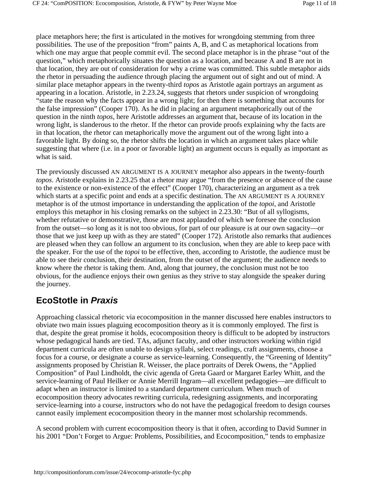place metaphors here; the first is articulated in the motives for wrongdoing stemming from three possibilities. The use of the preposition "from" paints A, B, and C as metaphorical locations from which one may argue that people commit evil. The second place metaphor is in the phrase "out of the question," which metaphorically situates the question as a location, and because A and B are not in that location, they are out of consideration for why a crime was committed. This subtle metaphor aids the rhetor in persuading the audience through placing the argument out of sight and out of mind. A similar place metaphor appears in the twenty-third *topos* as Aristotle again portrays an argument as appearing in a location. Aristotle, in 2.23.24, suggests that rhetors under suspicion of wrongdoing "state the reason why the facts appear in a wrong light; for then there is something that accounts for the false impression" (Cooper 170). As he did in placing an argument metaphorically out of the question in the ninth *topos*, here Aristotle addresses an argument that, because of its location in the wrong light, is slanderous to the rhetor. If the rhetor can provide proofs explaining why the facts are in that location, the rhetor can metaphorically move the argument out of the wrong light into a favorable light. By doing so, the rhetor shifts the location in which an argument takes place while suggesting that where (i.e. in a poor or favorable light) an argument occurs is equally as important as what is said.

The previously discussed AN ARGUMENT IS A JOURNEY metaphor also appears in the twenty-fourth *topos*. Aristotle explains in 2.23.25 that a rhetor may argue "from the presence or absence of the cause to the existence or non-existence of the effect" (Cooper 170), characterizing an argument as a trek which starts at a specific point and ends at a specific destination. The AN ARGUMENT IS A JOURNEY metaphor is of the utmost importance in understanding the application of the *topoi*, and Aristotle employs this metaphor in his closing remarks on the subject in 2.23.30: "But of all syllogisms, whether refutative or demonstrative, those are most applauded of which we foresee the conclusion from the outset––so long as it is not too obvious, for part of our pleasure is at our own sagacity––or those that we just keep up with as they are stated" (Cooper 172). Aristotle also remarks that audiences are pleased when they can follow an argument to its conclusion, when they are able to keep pace with the speaker. For the use of the *topoi* to be effective, then, according to Aristotle, the audience must be able to see their conclusion, their destination, from the outset of the argument; the audience needs to know where the rhetor is taking them. And, along that journey, the conclusion must not be too obvious, for the audience enjoys their own genius as they strive to stay alongside the speaker during the journey.

## **EcoStotle in** *Praxis*

Approaching classical rhetoric via ecocomposition in the manner discussed here enables instructors to obviate two main issues plaguing ecocomposition theory as it is commonly employed. The first is that, despite the great promise it holds, ecocomposition theory is difficult to be adopted by instructors whose pedagogical hands are tied. TAs, adjunct faculty, and other instructors working within rigid department curricula are often unable to design syllabi, select readings, craft assignments, choose a focus for a course, or designate a course as service-learning. Consequently, the "Greening of Identity" assignments proposed by Christian R. Weisser, the place portraits of Derek Owens, the "Applied Composition" of Paul Lindholdt, the civic agenda of Greta Gaard or Margaret Earley Whitt, and the service-learning of Paul Heilker or Annie Merrill Ingram––all excellent pedagogies––are difficult to adapt when an instructor is limited to a standard department curriculum. When much of ecocomposition theory advocates rewriting curricula, redesigning assignments, and incorporating service-learning into a course, instructors who do not have the pedagogical freedom to design courses cannot easily implement ecocomposition theory in the manner most scholarship recommends.

A second problem with current ecocomposition theory is that it often, according to David Sumner in his 2001 "Don't Forget to Argue: Problems, Possibilities, and Ecocomposition," tends to emphasize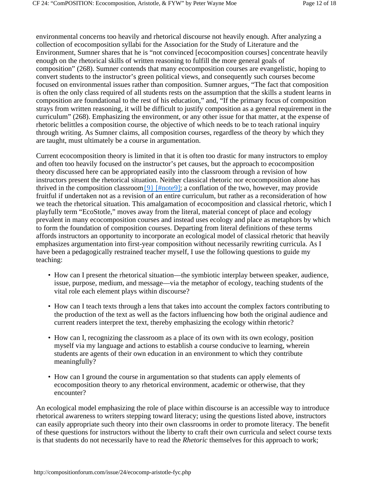environmental concerns too heavily and rhetorical discourse not heavily enough. After analyzing a collection of ecocomposition syllabi for the Association for the Study of Literature and the Environment, Sumner shares that he is "not convinced [ecocomposition courses] concentrate heavily enough on the rhetorical skills of written reasoning to fulfill the more general goals of composition" (268). Sumner contends that many ecocomposition courses are evangelistic, hoping to convert students to the instructor's green political views, and consequently such courses become focused on environmental issues rather than composition. Sumner argues, "The fact that composition is often the only class required of all students rests on the assumption that the skills a student learns in composition are foundational to the rest of his education," and, "If the primary focus of composition strays from written reasoning, it will be difficult to justify composition as a general requirement in the curriculum" (268). Emphasizing the environment, or any other issue for that matter, at the expense of rhetoric belittles a composition course, the objective of which needs to be to teach rational inquiry through writing. As Sumner claims, all composition courses, regardless of the theory by which they are taught, must ultimately be a course in argumentation.

Current ecocomposition theory is limited in that it is often too drastic for many instructors to employ and often too heavily focused on the instructor's pet causes, but the approach to ecocomposition theory discussed here can be appropriated easily into the classroom through a revision of how instructors present the rhetorical situation. Neither classical rhetoric nor ecocomposition alone has thrived in the composition classroom $\{9\}$  [#note9]; a conflation of the two, however, may provide fruitful if undertaken not as a revision of an entire curriculum, but rather as a reconsideration of how we teach the rhetorical situation. This amalgamation of ecocomposition and classical rhetoric, which I playfully term "EcoStotle," moves away from the literal, material concept of place and ecology prevalent in many ecocomposition courses and instead uses ecology and place as metaphors by which to form the foundation of composition courses. Departing from literal definitions of these terms affords instructors an opportunity to incorporate an ecological model of classical rhetoric that heavily emphasizes argumentation into first-year composition without necessarily rewriting curricula. As I have been a pedagogically restrained teacher myself, I use the following questions to guide my teaching:

- How can I present the rhetorical situation—the symbiotic interplay between speaker, audience, issue, purpose, medium, and message––via the metaphor of ecology, teaching students of the vital role each element plays within discourse?
- How can I teach texts through a lens that takes into account the complex factors contributing to the production of the text as well as the factors influencing how both the original audience and current readers interpret the text, thereby emphasizing the ecology within rhetoric?
- How can I, recognizing the classroom as a place of its own with its own ecology, position myself via my language and actions to establish a course conducive to learning, wherein students are agents of their own education in an environment to which they contribute meaningfully?
- How can I ground the course in argumentation so that students can apply elements of ecocomposition theory to any rhetorical environment, academic or otherwise, that they encounter?

An ecological model emphasizing the role of place within discourse is an accessible way to introduce rhetorical awareness to writers stepping toward literacy; using the questions listed above, instructors can easily appropriate such theory into their own classrooms in order to promote literacy. The benefit of these questions for instructors without the liberty to craft their own curricula and select course texts is that students do not necessarily have to read the *Rhetoric* themselves for this approach to work;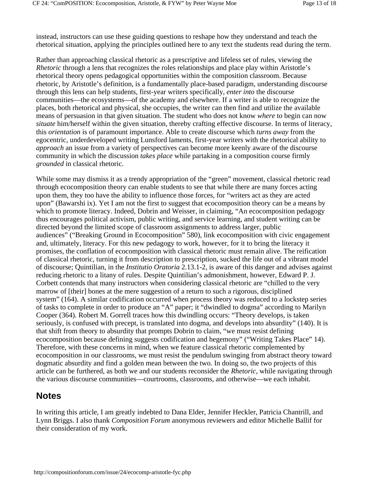instead, instructors can use these guiding questions to reshape how they understand and teach the rhetorical situation, applying the principles outlined here to any text the students read during the term.

Rather than approaching classical rhetoric as a prescriptive and lifeless set of rules, viewing the *Rhetoric* through a lens that recognizes the roles relationships and place play within Aristotle's rhetorical theory opens pedagogical opportunities within the composition classroom. Because rhetoric, by Aristotle's definition, is a fundamentally place-based paradigm, understanding discourse through this lens can help students, first-year writers specifically, *enter into* the discourse communities––the ecosystems––of the academy and elsewhere. If a writer is able to recognize the places, both rhetorical and physical, she occupies, the writer can then find and utilize the available means of persuasion in that given situation. The student who does not know *where* to begin can now *situate* him/herself within the given situation, thereby crafting effective discourse. In terms of literacy, this *orientation* is of paramount importance. Able to create discourse which *turns away* from the egocentric, underdeveloped writing Lunsford laments, first-year writers with the rhetorical ability to *approach* an issue from a variety of perspectives can become more keenly aware of the discourse community in which the discussion *takes place* while partaking in a composition course firmly *grounded* in classical rhetoric.

While some may dismiss it as a trendy appropriation of the "green" movement, classical rhetoric read through ecocomposition theory can enable students to see that while there are many forces acting upon them, they too have the ability to influence those forces, for "writers act as they are acted upon" (Bawarshi ix). Yet I am not the first to suggest that ecocomposition theory can be a means by which to promote literacy. Indeed, Dobrin and Weisser, in claiming, "An ecocomposition pedagogy thus encourages political activism, public writing, and service learning, and student writing can be directed beyond the limited scope of classroom assignments to address larger, public audiences" ("Breaking Ground in Ecocomposition" 580), link ecocomposition with civic engagement and, ultimately, literacy. For this new pedagogy to work, however, for it to bring the literacy it promises, the conflation of ecocomposition with classical rhetoric must remain alive. The reification of classical rhetoric, turning it from description to prescription, sucked the life out of a vibrant model of discourse; Quintilian, in the *Institutio Oratoria* 2.13.1-2, is aware of this danger and advises against reducing rhetoric to a litany of rules. Despite Quintilian's admonishment, however, Edward P. J. Corbett contends that many instructors when considering classical rhetoric are "chilled to the very marrow of [their] bones at the mere suggestion of a return to such a rigorous, disciplined system" (164). A similar codification occurred when process theory was reduced to a lockstep series of tasks to complete in order to produce an "A" paper; it "dwindled to dogma" according to Marilyn Cooper (364). Robert M. Gorrell traces how this dwindling occurs: "Theory develops, is taken seriously, is confused with precept, is translated into dogma, and develops into absurdity" (140). It is that shift from theory to absurdity that prompts Dobrin to claim, "we must resist defining ecocomposition because defining suggests codification and hegemony" ("Writing Takes Place" 14). Therefore, with these concerns in mind, when we feature classical rhetoric complemented by ecocomposition in our classrooms, we must resist the pendulum swinging from abstract theory toward dogmatic absurdity and find a golden mean between the two. In doing so, the two projects of this article can be furthered, as both we and our students reconsider the *Rhetoric,* while navigating through the various discourse communities––courtrooms, classrooms, and otherwise––we each inhabit.

#### **Notes**

In writing this article, I am greatly indebted to Dana Elder, Jennifer Heckler, Patricia Chantrill, and Lynn Briggs. I also thank *Composition Forum* anonymous reviewers and editor Michelle Ballif for their consideration of my work.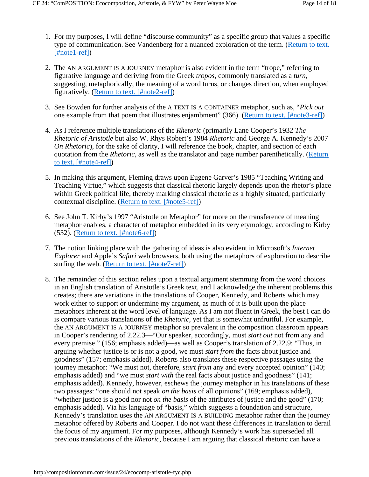- 1. For my purposes, I will define "discourse community" as a specific group that values a specific type of communication. See Vandenberg for a nuanced exploration of the term. (Return to text. [#note1-ref])
- 2. The AN ARGUMENT IS A JOURNEY metaphor is also evident in the term "trope," referring to figurative language and deriving from the Greek *tropos*, commonly translated as a *turn*, suggesting, metaphorically, the meaning of a word turns, or changes direction, when employed figuratively. (Return to text. [#note2-ref])
- See Bowden for further analysis of the A TEXT IS A CONTAINER metaphor, such as, "*Pick out* 3. one example from that poem that illustrates enjambment" (366). (Return to text. [#note3-ref])
- As I reference multiple translations of the *Rhetoric* (primarily Lane Cooper's 1932 *The*  4. *Rhetoric of Aristotle* but also W. Rhys Robert's 1984 *Rhetoric* and George A. Kennedy's 2007 *On Rhetoric*), for the sake of clarity, I will reference the book, chapter, and section of each quotation from the *Rhetoric*, as well as the translator and page number parenthetically. (Return to text. [#note4-ref])
- 5. In making this argument, Fleming draws upon Eugene Garver's 1985 "Teaching Writing and Teaching Virtue," which suggests that classical rhetoric largely depends upon the rhetor's place within Greek political life, thereby marking classical rhetoric as a highly situated, particularly contextual discipline. (Return to text. [#note5-ref])
- 6. See John T. Kirby's 1997 "Aristotle on Metaphor" for more on the transference of meaning metaphor enables, a character of metaphor embedded in its very etymology, according to Kirby (532). (Return to text. [#note6-ref])
- The notion linking place with the gathering of ideas is also evident in Microsoft's *Internet*  7. *Explorer* and Apple's *Safari* web browsers, both using the metaphors of exploration to describe surfing the web. (Return to text. [#note7-ref])
- The remainder of this section relies upon a textual argument stemming from the word choices 8. in an English translation of Aristotle's Greek text, and I acknowledge the inherent problems this creates; there are variations in the translations of Cooper, Kennedy, and Roberts which may work either to support or undermine my argument, as much of it is built upon the place metaphors inherent at the word level of language. As I am not fluent in Greek, the best I can do is compare various translations of the *Rhetoric*, yet that is somewhat unfruitful. For example, the AN ARGUMENT IS A JOURNEY metaphor so prevalent in the composition classroom appears in Cooper's rendering of 2.22.3––"Our speaker, accordingly, must *start out* not from any and every premise " (156; emphasis added)—as well as Cooper's translation of 2.22.9: "Thus, in arguing whether justice is or is not a good, we must *start from* the facts about justice and goodness" (157; emphasis added). Roberts also translates these respective passages using the journey metaphor: "We must not, therefore, *start from* any and every accepted opinion" (140; emphasis added) and "we must *start with* the real facts about justice and goodness" (141; emphasis added). Kennedy, however, eschews the journey metaphor in his translations of these two passages: "one should not speak *on the basis* of all opinions" (169; emphasis added), "whether justice is a good nor not *on the basis* of the attributes of justice and the good" (170; emphasis added). Via his language of "basis," which suggests a foundation and structure, Kennedy's translation uses the AN ARGUMENT IS A BUILDING metaphor rather than the journey metaphor offered by Roberts and Cooper. I do not want these differences in translation to derail the focus of my argument. For my purposes, although Kennedy's work has superseded all previous translations of the *Rhetoric*, because I am arguing that classical rhetoric can have a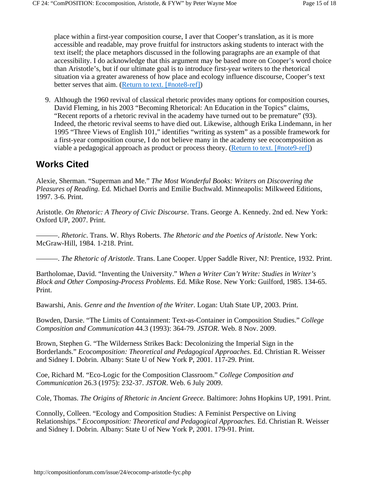place within a first-year composition course, I aver that Cooper's translation, as it is more accessible and readable, may prove fruitful for instructors asking students to interact with the text itself; the place metaphors discussed in the following paragraphs are an example of that accessibility. I do acknowledge that this argument may be based more on Cooper's word choice than Aristotle's, but if our ultimate goal is to introduce first-year writers to the rhetorical situation via a greater awareness of how place and ecology influence discourse, Cooper's text better serves that aim. (Return to text. [#note8-ref])

Although the 1960 revival of classical rhetoric provides many options for composition courses, 9. David Fleming, in his 2003 "Becoming Rhetorical: An Education in the Topics" claims, "Recent reports of a rhetoric revival in the academy have turned out to be premature" (93). Indeed, the rhetoric revival seems to have died out. Likewise, although Erika Lindemann, in her 1995 "Three Views of English 101," identifies "writing as system" as a possible framework for a first-year composition course, I do not believe many in the academy see ecocomposition as viable a pedagogical approach as product or process theory. (Return to text. [#note9-ref])

### **Works Cited**

Alexie, Sherman. "Superman and Me." *The Most Wonderful Books: Writers on Discovering the Pleasures of Reading*. Ed. Michael Dorris and Emilie Buchwald. Minneapolis: Milkweed Editions, 1997. 3-6. Print.

Aristotle. *On Rhetoric: A Theory of Civic Discourse*. Trans. George A. Kennedy. 2nd ed. New York: Oxford UP, 2007. Print.

———. *Rhetoric*. Trans. W. Rhys Roberts. *The Rhetoric and the Poetics of Aristotle*. New York: McGraw-Hill, 1984. 1-218. Print.

———. *The Rhetoric of Aristotle*. Trans. Lane Cooper. Upper Saddle River, NJ: Prentice, 1932. Print.

Bartholomae, David. "Inventing the University." *When a Writer Can't Write: Studies in Writer's Block and Other Composing-Process Problems*. Ed. Mike Rose. New York: Guilford, 1985. 134-65. Print.

Bawarshi, Anis. *Genre and the Invention of the Writer*. Logan: Utah State UP, 2003. Print.

Bowden, Darsie. "The Limits of Containment: Text-as-Container in Composition Studies." *College Composition and Communication* 44.3 (1993): 364-79. *JSTOR*. Web. 8 Nov. 2009.

Brown, Stephen G. "The Wilderness Strikes Back: Decolonizing the Imperial Sign in the Borderlands." *Ecocomposition: Theoretical and Pedagogical Approaches*. Ed. Christian R. Weisser and Sidney I. Dobrin. Albany: State U of New York P, 2001. 117-29. Print.

Coe, Richard M. "Eco-Logic for the Composition Classroom." *College Composition and Communication* 26.3 (1975): 232-37. *JSTOR*. Web. 6 July 2009.

Cole, Thomas. *The Origins of Rhetoric in Ancient Greece.* Baltimore: Johns Hopkins UP, 1991. Print.

Connolly, Colleen. "Ecology and Composition Studies: A Feminist Perspective on Living Relationships." *Ecocomposition: Theoretical and Pedagogical Approaches*. Ed. Christian R. Weisser and Sidney I. Dobrin. Albany: State U of New York P, 2001. 179-91. Print.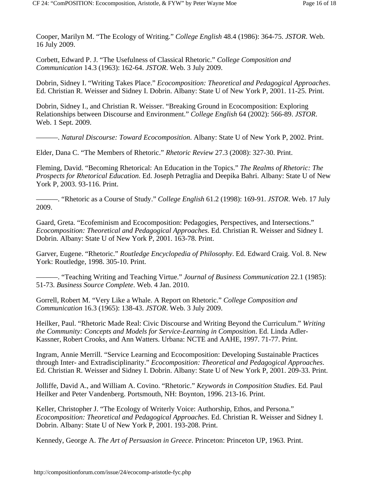Cooper, Marilyn M. "The Ecology of Writing." *College English* 48.4 (1986): 364-75. *JSTOR*. Web. 16 July 2009.

Corbett, Edward P. J. "The Usefulness of Classical Rhetoric." *College Composition and Communication* 14.3 (1963): 162-64. *JSTOR*. Web. 3 July 2009.

Dobrin, Sidney I. "Writing Takes Place." *Ecocomposition: Theoretical and Pedagogical Approaches*. Ed. Christian R. Weisser and Sidney I. Dobrin. Albany: State U of New York P, 2001. 11-25. Print.

Dobrin, Sidney I., and Christian R. Weisser. "Breaking Ground in Ecocomposition: Exploring Relationships between Discourse and Environment." *College English* 64 (2002): 566-89. *JSTOR*. Web. 1 Sept. 2009.

———. *Natural Discourse: Toward Ecocomposition*. Albany: State U of New York P, 2002. Print.

Elder, Dana C. "The Members of Rhetoric." *Rhetoric Review* 27.3 (2008): 327-30. Print.

Fleming, David. "Becoming Rhetorical: An Education in the Topics." *The Realms of Rhetoric: The Prospects for Rhetorical Education*. Ed. Joseph Petraglia and Deepika Bahri. Albany: State U of New York P, 2003. 93-116. Print.

———. "Rhetoric as a Course of Study." *College English* 61.2 (1998): 169-91. *JSTOR*. Web. 17 July 2009.

Gaard, Greta. "Ecofeminism and Ecocomposition: Pedagogies, Perspectives, and Intersections." *Ecocomposition: Theoretical and Pedagogical Approaches*. Ed. Christian R. Weisser and Sidney I. Dobrin. Albany: State U of New York P, 2001. 163-78. Print.

Garver, Eugene. "Rhetoric." *Routledge Encyclopedia of Philosophy*. Ed. Edward Craig. Vol. 8. New York: Routledge, 1998. 305-10. Print.

———. "Teaching Writing and Teaching Virtue." *Journal of Business Communication* 22.1 (1985): 51-73. *Business Source Complete*. Web. 4 Jan. 2010.

Gorrell, Robert M. "Very Like a Whale. A Report on Rhetoric." *College Composition and Communication* 16.3 (1965): 138-43. *JSTOR*. Web. 3 July 2009.

Heilker, Paul. "Rhetoric Made Real: Civic Discourse and Writing Beyond the Curriculum." *Writing the Community: Concepts and Models for Service-Learning in Composition*. Ed. Linda Adler-Kassner, Robert Crooks, and Ann Watters. Urbana: NCTE and AAHE, 1997. 71-77. Print.

Ingram, Annie Merrill. "Service Learning and Ecocomposition: Developing Sustainable Practices through Inter- and Extradisciplinarity." *Ecocomposition: Theoretical and Pedagogical Approaches*. Ed. Christian R. Weisser and Sidney I. Dobrin. Albany: State U of New York P, 2001. 209-33. Print.

Jolliffe, David A., and William A. Covino. "Rhetoric." *Keywords in Composition Studies*. Ed. Paul Heilker and Peter Vandenberg. Portsmouth, NH: Boynton, 1996. 213-16. Print.

Keller, Christopher J. "The Ecology of Writerly Voice: Authorship, Ethos, and Persona." *Ecocomposition: Theoretical and Pedagogical Approaches*. Ed. Christian R. Weisser and Sidney I. Dobrin. Albany: State U of New York P, 2001. 193-208. Print.

Kennedy, George A. *The Art of Persuasion in Greece*. Princeton: Princeton UP, 1963. Print.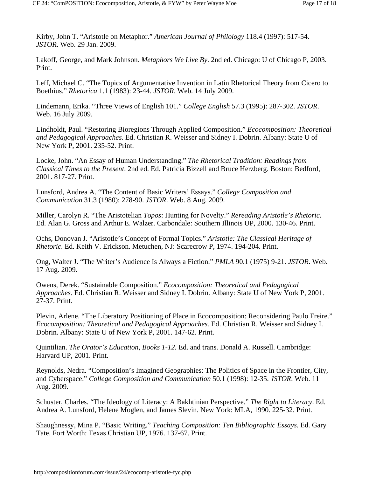Kirby, John T. "Aristotle on Metaphor." *American Journal of Philology* 118.4 (1997): 517-54. *JSTOR*. Web. 29 Jan. 2009.

Lakoff, George, and Mark Johnson. *Metaphors We Live By*. 2nd ed. Chicago: U of Chicago P, 2003. Print.

Leff, Michael C. "The Topics of Argumentative Invention in Latin Rhetorical Theory from Cicero to Boethius." *Rhetorica* 1.1 (1983): 23-44. *JSTOR*. Web. 14 July 2009.

Lindemann, Erika. "Three Views of English 101." *College English* 57.3 (1995): 287-302. *JSTOR*. Web. 16 July 2009.

Lindholdt, Paul. "Restoring Bioregions Through Applied Composition." *Ecocomposition: Theoretical and Pedagogical Approaches*. Ed. Christian R. Weisser and Sidney I. Dobrin. Albany: State U of New York P, 2001. 235-52. Print.

Locke, John. "An Essay of Human Understanding." *The Rhetorical Tradition: Readings from Classical Times to the Present*. 2nd ed. Ed. Patricia Bizzell and Bruce Herzberg. Boston: Bedford, 2001. 817-27. Print.

Lunsford, Andrea A. "The Content of Basic Writers' Essays." *College Composition and Communication* 31.3 (1980): 278-90. *JSTOR*. Web. 8 Aug. 2009.

Miller, Carolyn R. "The Aristotelian *Topos*: Hunting for Novelty." *Rereading Aristotle's Rhetoric*. Ed. Alan G. Gross and Arthur E. Walzer. Carbondale: Southern Illinois UP, 2000. 130-46. Print.

Ochs, Donovan J. "Aristotle's Concept of Formal Topics." *Aristotle: The Classical Heritage of Rhetoric*. Ed. Keith V. Erickson. Metuchen, NJ: Scarecrow P, 1974. 194-204. Print.

Ong, Walter J. "The Writer's Audience Is Always a Fiction." *PMLA* 90.1 (1975) 9-21. *JSTOR*. Web. 17 Aug. 2009.

Owens, Derek. "Sustainable Composition." *Ecocomposition: Theoretical and Pedagogical Approaches*. Ed. Christian R. Weisser and Sidney I. Dobrin. Albany: State U of New York P, 2001. 27-37. Print.

Plevin, Arlene. "The Liberatory Positioning of Place in Ecocomposition: Reconsidering Paulo Freire." *Ecocomposition: Theoretical and Pedagogical Approaches.* Ed. Christian R. Weisser and Sidney I. Dobrin. Albany: State U of New York P, 2001. 147-62. Print.

Quintilian. *The Orator's Education, Books 1-12.* Ed. and trans. Donald A. Russell. Cambridge: Harvard UP, 2001. Print.

Reynolds, Nedra. "Composition's Imagined Geographies: The Politics of Space in the Frontier, City, and Cyberspace." *College Composition and Communication* 50.1 (1998): 12-35. *JSTOR*. Web. 11 Aug. 2009.

Schuster, Charles. "The Ideology of Literacy: A Bakhtinian Perspective." *The Right to Literacy*. Ed. Andrea A. Lunsford, Helene Moglen, and James Slevin. New York: MLA, 1990. 225-32. Print.

Shaughnessy, Mina P. "Basic Writing." *Teaching Composition: Ten Bibliographic Essays*. Ed. Gary Tate. Fort Worth: Texas Christian UP, 1976. 137-67. Print.